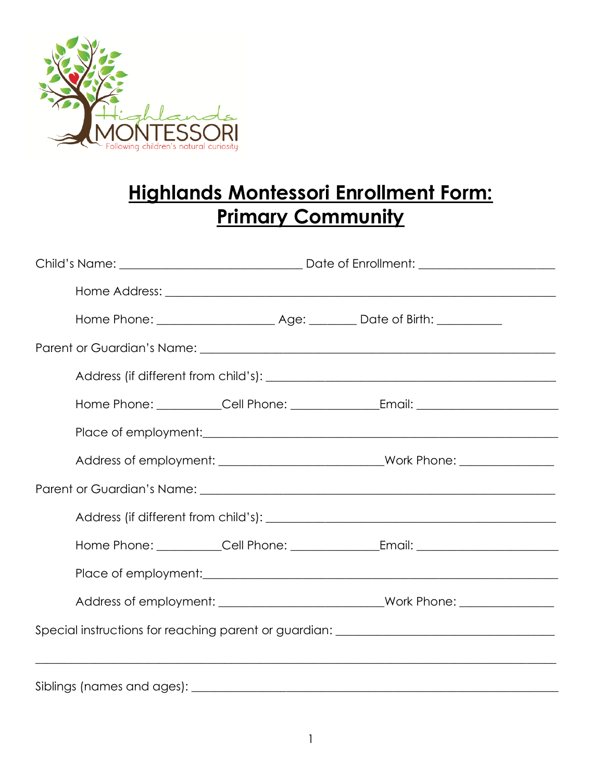

# **Highlands Montessori Enrollment Form: Primary Community**

|                                                                                   | Address of employment: ___________________________________Work Phone: _________________ |  |  |  |
|-----------------------------------------------------------------------------------|-----------------------------------------------------------------------------------------|--|--|--|
|                                                                                   |                                                                                         |  |  |  |
|                                                                                   |                                                                                         |  |  |  |
|                                                                                   |                                                                                         |  |  |  |
|                                                                                   |                                                                                         |  |  |  |
|                                                                                   |                                                                                         |  |  |  |
| Special instructions for reaching parent or guardian: __________________________  |                                                                                         |  |  |  |
| ,我们也不能在这里的人,我们也不能在这里的人,我们也不能在这里的人,我们也不能在这里的人,我们也不能在这里的人,我们也不能在这里的人,我们也不能在这里的人,我们也 |                                                                                         |  |  |  |
|                                                                                   |                                                                                         |  |  |  |

1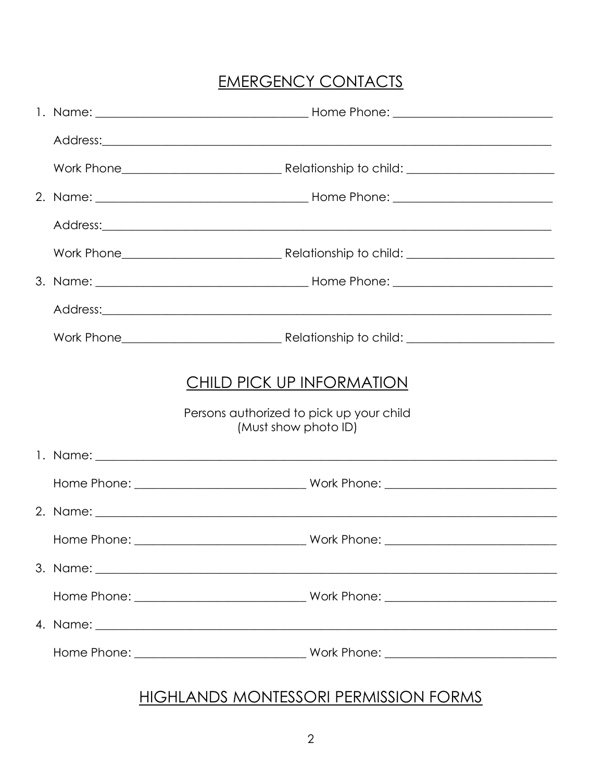### **EMERGENCY CONTACTS**

|  |             | Address: Andreas Address: Address: Address: Address: Address: Address: Address: Address: Address: Address: Address: Address: Address: Address: Address: Address: Address: Address: Address: Address: Address: Address: Address      |
|--|-------------|-------------------------------------------------------------------------------------------------------------------------------------------------------------------------------------------------------------------------------------|
|  |             |                                                                                                                                                                                                                                     |
|  |             |                                                                                                                                                                                                                                     |
|  |             |                                                                                                                                                                                                                                     |
|  |             |                                                                                                                                                                                                                                     |
|  |             |                                                                                                                                                                                                                                     |
|  |             | Address: <u>Address:</u> Address: Address: Address: Address: Address: Address: Address: Address: Address: Address: Address: Address: Address: Address: Address: Address: Address: Address: Address: Address: Address: Address: Addr |
|  |             |                                                                                                                                                                                                                                     |
|  |             | CHILD PICK UP INFORMATION<br>Persons authorized to pick up your child<br>(Must show photo ID)                                                                                                                                       |
|  |             |                                                                                                                                                                                                                                     |
|  |             |                                                                                                                                                                                                                                     |
|  |             |                                                                                                                                                                                                                                     |
|  | Home Phone: | Work Phone:                                                                                                                                                                                                                         |
|  |             |                                                                                                                                                                                                                                     |
|  |             |                                                                                                                                                                                                                                     |
|  |             |                                                                                                                                                                                                                                     |
|  |             |                                                                                                                                                                                                                                     |

### **HIGHLANDS MONTESSORI PERMISSION FORMS**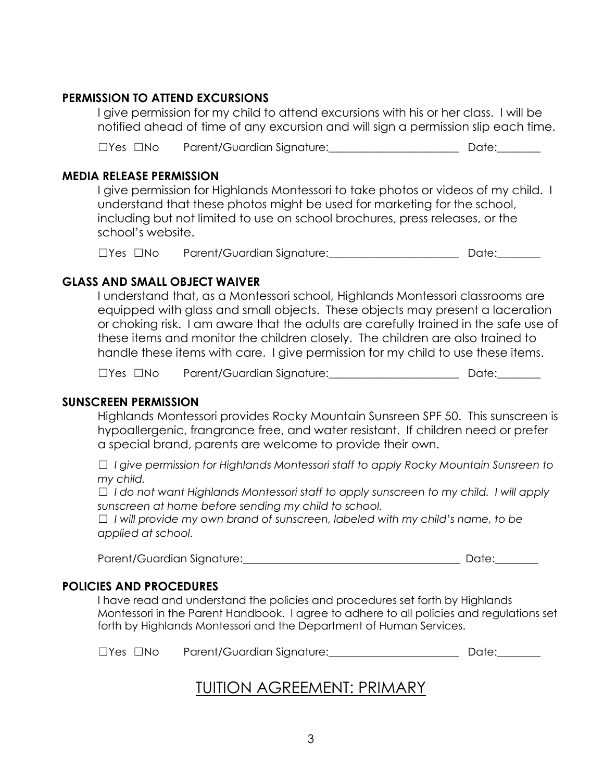#### **PERMISSION TO ATTEND EXCURSIONS**

I give permission for my child to attend excursions with his or her class. I will be notified ahead of time of any excursion and will sign a permission slip each time.

☐Yes ☐No Parent/Guardian Signature:\_\_\_\_\_\_\_\_\_\_\_\_\_\_\_\_\_\_\_\_\_\_\_\_ Date:\_\_\_\_\_\_\_\_

#### **MEDIA RELEASE PERMISSION**

I give permission for Highlands Montessori to take photos or videos of my child. I understand that these photos might be used for marketing for the school, including but not limited to use on school brochures, press releases, or the school's website.

☐Yes ☐No Parent/Guardian Signature:\_\_\_\_\_\_\_\_\_\_\_\_\_\_\_\_\_\_\_\_\_\_\_\_ Date:\_\_\_\_\_\_\_\_

#### **GLASS AND SMALL OBJECT WAIVER**

I understand that, as a Montessori school, Highlands Montessori classrooms are equipped with glass and small objects. These objects may present a laceration or choking risk. I am aware that the adults are carefully trained in the safe use of these items and monitor the children closely. The children are also trained to handle these items with care. I give permission for my child to use these items.

☐Yes ☐No Parent/Guardian Signature:\_\_\_\_\_\_\_\_\_\_\_\_\_\_\_\_\_\_\_\_\_\_\_\_ Date:\_\_\_\_\_\_\_\_

#### **SUNSCREEN PERMISSION**

Highlands Montessori provides Rocky Mountain Sunsreen SPF 50. This sunscreen is hypoallergenic, frangrance free, and water resistant. If children need or prefer a special brand, parents are welcome to provide their own.

☐ *I give permission for Highlands Montessori staff to apply Rocky Mountain Sunsreen to my child.*

☐ *I do not want Highlands Montessori staff to apply sunscreen to my child. I will apply sunscreen at home before sending my child to school.*

☐ *I will provide my own brand of sunscreen, labeled with my child's name, to be applied at school.*

Parent/Guardian Signature:\_\_\_\_\_\_\_\_\_\_\_\_\_\_\_\_\_\_\_\_\_\_\_\_\_\_\_\_\_\_\_\_\_\_\_\_\_\_\_\_ Date:\_\_\_\_\_\_\_\_

#### **POLICIES AND PROCEDURES**

I have read and understand the policies and procedures set forth by Highlands Montessori in the Parent Handbook. I agree to adhere to all policies and regulations set forth by Highlands Montessori and the Department of Human Services.

☐Yes ☐No Parent/Guardian Signature:\_\_\_\_\_\_\_\_\_\_\_\_\_\_\_\_\_\_\_\_\_\_\_\_ Date:\_\_\_\_\_\_\_\_

### TUITION AGREEMENT: PRIMARY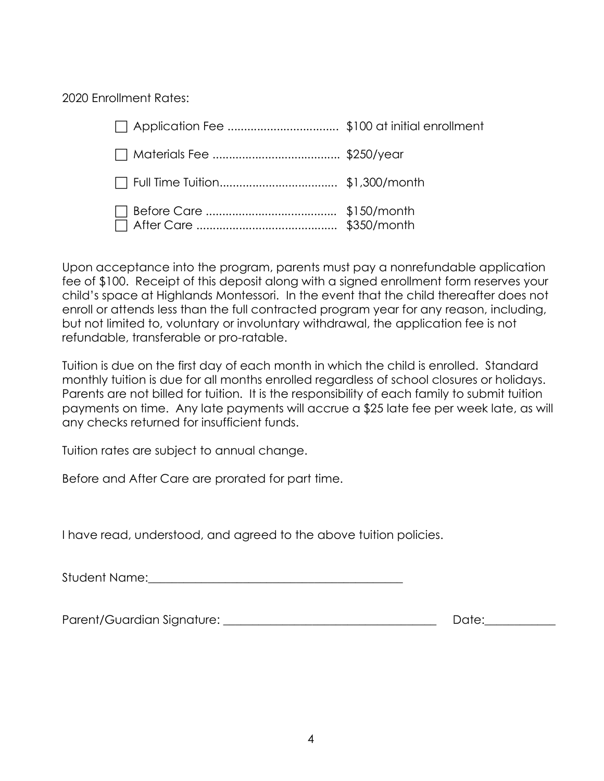2020 Enrollment Rates:

Upon acceptance into the program, parents must pay a nonrefundable application fee of \$100. Receipt of this deposit along with a signed enrollment form reserves your child's space at Highlands Montessori. In the event that the child thereafter does not enroll or attends less than the full contracted program year for any reason, including, but not limited to, voluntary or involuntary withdrawal, the application fee is not refundable, transferable or pro-ratable.

Tuition is due on the first day of each month in which the child is enrolled. Standard monthly tuition is due for all months enrolled regardless of school closures or holidays. Parents are not billed for tuition. It is the responsibility of each family to submit tuition payments on time. Any late payments will accrue a \$25 late fee per week late, as will any checks returned for insufficient funds.

Tuition rates are subject to annual change.

Before and After Care are prorated for part time.

I have read, understood, and agreed to the above tuition policies.

Student Name:\_\_\_\_\_\_\_\_\_\_\_\_\_\_\_\_\_\_\_\_\_\_\_\_\_\_\_\_\_\_\_\_\_\_\_\_\_\_\_\_\_\_\_

Parent/Guardian Signature: \_\_\_\_\_\_\_\_\_\_\_\_\_\_\_\_\_\_\_\_\_\_\_\_\_\_\_\_\_\_\_\_\_\_\_\_ Date:\_\_\_\_\_\_\_\_\_\_\_\_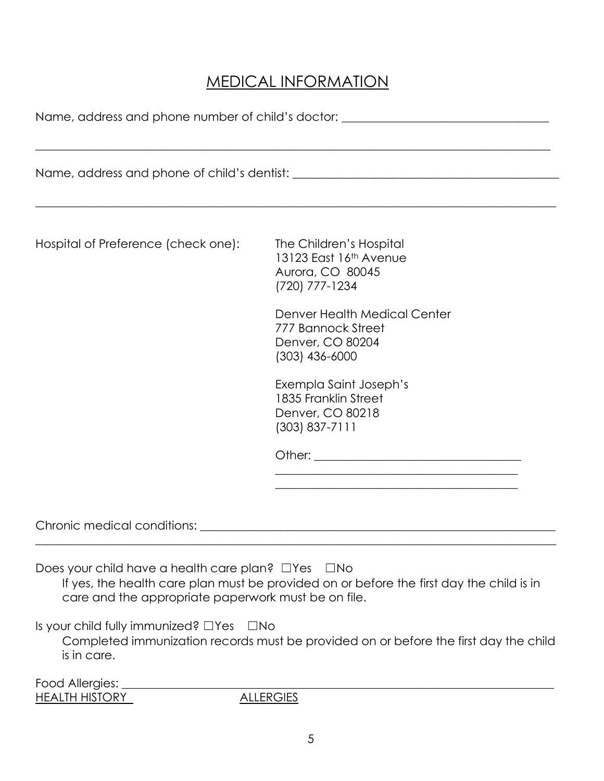## MEDICAL INFORMATION

Name, address and phone number of child's doctor: \_\_\_\_\_\_\_\_\_\_\_\_\_\_\_\_\_\_\_\_\_\_\_\_\_\_\_\_\_\_

| Hospital of Preference (check one):                                                                                                                                  | The Children's Hospital<br>13123 East 16th Avenue<br>Aurora, CO 80045<br>(720) 777-1234                                                                                                 |  |  |  |
|----------------------------------------------------------------------------------------------------------------------------------------------------------------------|-----------------------------------------------------------------------------------------------------------------------------------------------------------------------------------------|--|--|--|
|                                                                                                                                                                      | Denver Health Medical Center<br>777 Bannock Street<br>Denver, CO 80204<br>$(303)$ 436-6000                                                                                              |  |  |  |
|                                                                                                                                                                      | Exempla Saint Joseph's<br>1835 Franklin Street<br>Denver, CO 80218<br>$(303) 837 - 7111$                                                                                                |  |  |  |
|                                                                                                                                                                      |                                                                                                                                                                                         |  |  |  |
|                                                                                                                                                                      | <u> 1999 - Jan James James James James James James James James James James James James James James James James J</u>                                                                    |  |  |  |
|                                                                                                                                                                      |                                                                                                                                                                                         |  |  |  |
| Does your child have a health care plan? $\Box$ Yes<br>care and the appropriate paperwork must be on file.<br>Is your child fully immunized? $\Box$ Yes<br>$\Box$ No | ⊿No<br>If yes, the health care plan must be provided on or before the first day the child is in<br>Completed immunization records must be provided on or before the first day the child |  |  |  |
| is in care.                                                                                                                                                          |                                                                                                                                                                                         |  |  |  |
| Food Allergies:<br><b>HEALTH HISTORY</b>                                                                                                                             | <b>ALLERGIES</b>                                                                                                                                                                        |  |  |  |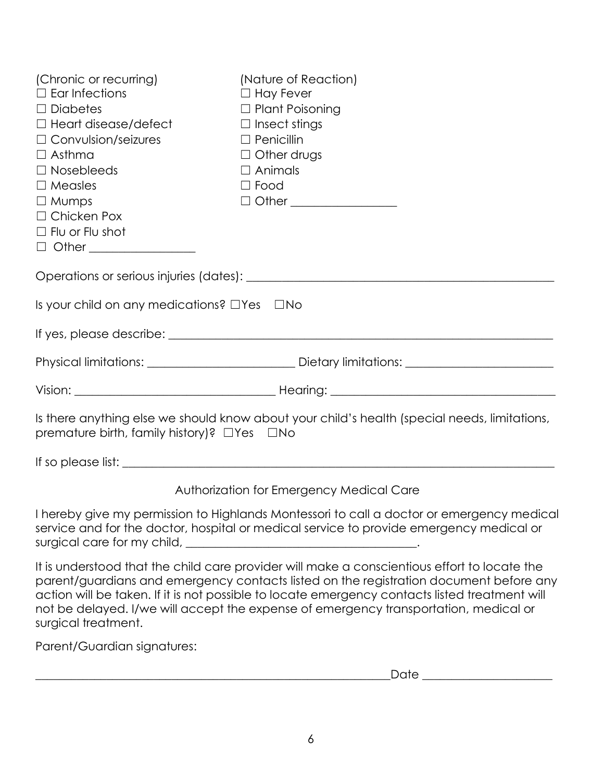| (Chronic or recurring)<br>$\Box$ Ear Infections<br>$\Box$ Diabetes<br>$\Box$ Heart disease/defect<br>$\Box$ Convulsion/seizures<br>$\Box$ Asthma<br>$\Box$ Nosebleeds<br>$\Box$ Measles<br>$\Box$ Mumps<br>$\Box$ Chicken Pox<br>$\Box$ Flu or Flu shot<br>$\Box$ Other ___________________ | (Nature of Reaction)<br>$\Box$ Hay Fever<br>$\Box$ Plant Poisoning<br>$\Box$ Insect stings<br>$\Box$ Penicillin<br>$\Box$ Other drugs<br>$\Box$ Animals<br>$\Box$ Food<br>$\Box$ Other _________________                                                                                 |  |  |  |
|---------------------------------------------------------------------------------------------------------------------------------------------------------------------------------------------------------------------------------------------------------------------------------------------|------------------------------------------------------------------------------------------------------------------------------------------------------------------------------------------------------------------------------------------------------------------------------------------|--|--|--|
|                                                                                                                                                                                                                                                                                             |                                                                                                                                                                                                                                                                                          |  |  |  |
| Is your child on any medications? $\Box$ Yes $\Box$ No                                                                                                                                                                                                                                      |                                                                                                                                                                                                                                                                                          |  |  |  |
|                                                                                                                                                                                                                                                                                             |                                                                                                                                                                                                                                                                                          |  |  |  |
|                                                                                                                                                                                                                                                                                             | Physical limitations: ___________________________________Dietary limitations: _______________________________                                                                                                                                                                            |  |  |  |
|                                                                                                                                                                                                                                                                                             |                                                                                                                                                                                                                                                                                          |  |  |  |
| Is there anything else we should know about your child's health (special needs, limitations,<br>premature birth, family history)? $\Box$ Yes $\Box$ No                                                                                                                                      |                                                                                                                                                                                                                                                                                          |  |  |  |
|                                                                                                                                                                                                                                                                                             |                                                                                                                                                                                                                                                                                          |  |  |  |
|                                                                                                                                                                                                                                                                                             | Authorization for Emergency Medical Care                                                                                                                                                                                                                                                 |  |  |  |
|                                                                                                                                                                                                                                                                                             | I hereby give my permission to Highlands Montessori to call a doctor or emergency medical<br>service and for the doctor, hospital or medical service to provide emergency medical or<br>surgical care for my child, the manufacturer and the manufacturer and the surface                |  |  |  |
|                                                                                                                                                                                                                                                                                             | It is understood that the child care provider will make a conscientious effort to locate the<br>parent/guardians and emergency contacts listed on the registration document before any<br>action will be taken. If it is not possible to locate emergency contacts listed treatment will |  |  |  |

Parent/Guardian signatures:

surgical treatment.

 $\textcolor{red}{\text{Date}}$   $\textcolor{red}{\text{Date}}$ 

not be delayed. I/we will accept the expense of emergency transportation, medical or